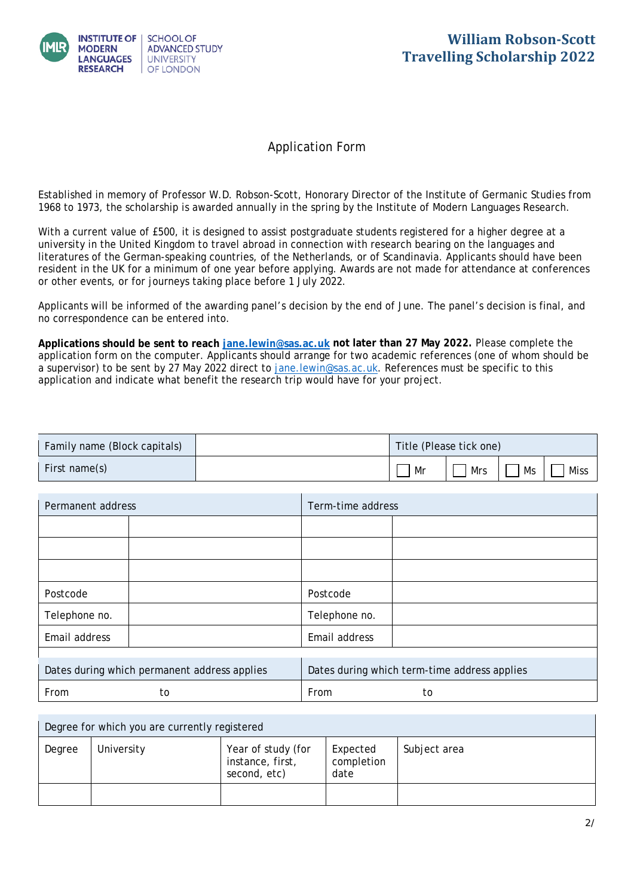

## Application Form

Established in memory of Professor W.D. Robson-Scott, Honorary Director of the Institute of Germanic Studies from 1968 to 1973, the scholarship is awarded annually in the spring by the Institute of Modern Languages Research.

With a current value of £500, it is designed to assist postgraduate students registered for a higher degree at a university in the United Kingdom to travel abroad in connection with research bearing on the languages and literatures of the German-speaking countries, of the Netherlands, or of Scandinavia. Applicants should have been resident in the UK for a minimum of one year before applying. Awards are not made for attendance at conferences or other events, or for journeys taking place before 1 July 2022.

Applicants will be informed of the awarding panel's decision by the end of June. The panel's decision is final, and no correspondence can be entered into.

**Applications should be sent to reach [jane.lewin@sas.ac.uk](mailto:jane.lewin@sas.ac.uk) not later than 27 May 2022.** Please complete the a supervisor) to be sent by 27 May 2022 direct to jane. lewin@sas. ac. uk. References must be specific to this application and indicate what benefit the research trip would have for your project. application form on the computer. Applicants should arrange for two academic references (one of whom should be

| Family name (Block capitals) | Title (Please tick one) |     |    |      |
|------------------------------|-------------------------|-----|----|------|
| First name(s)                | Mr                      | Mrs | Ms | Miss |

| Permanent address |                                              | Term-time address |                                              |  |
|-------------------|----------------------------------------------|-------------------|----------------------------------------------|--|
|                   |                                              |                   |                                              |  |
|                   |                                              |                   |                                              |  |
|                   |                                              |                   |                                              |  |
| Postcode          |                                              | Postcode          |                                              |  |
| Telephone no.     |                                              | Telephone no.     |                                              |  |
| Email address     |                                              | Email address     |                                              |  |
|                   |                                              |                   |                                              |  |
|                   | Dates during which permanent address applies |                   | Dates during which term-time address applies |  |
| From              | to                                           | From              | to                                           |  |

| Degree for which you are currently registered |            |                                                        |                                |              |  |
|-----------------------------------------------|------------|--------------------------------------------------------|--------------------------------|--------------|--|
| Degree                                        | University | Year of study (for<br>instance, first,<br>second, etc) | Expected<br>completion<br>date | Subject area |  |
|                                               |            |                                                        |                                |              |  |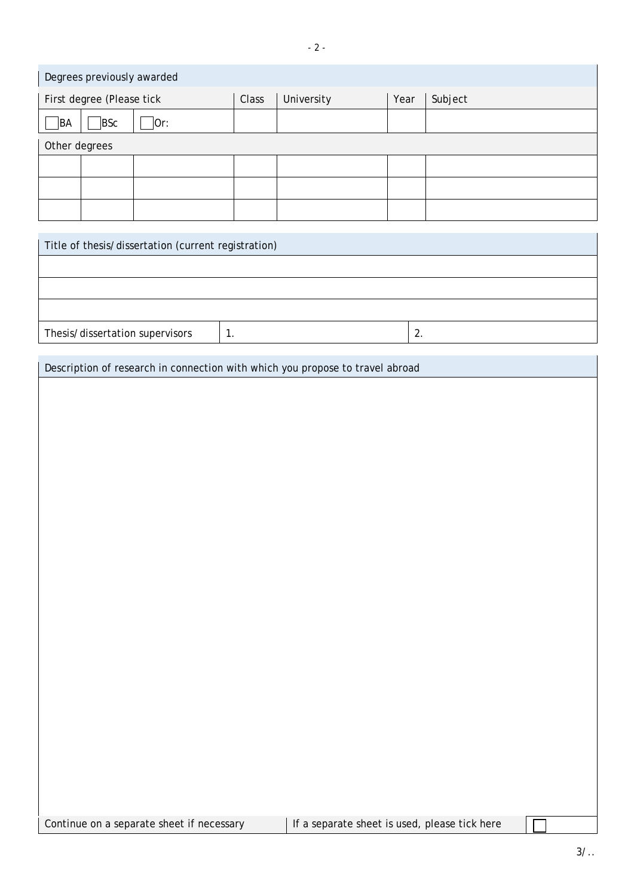| Degrees previously awarded |       |            |      |         |
|----------------------------|-------|------------|------|---------|
| First degree (Please tick  | Class | University | Year | Subject |
| BSc<br>BA<br>Or:           |       |            |      |         |
| Other degrees              |       |            |      |         |
|                            |       |            |      |         |
|                            |       |            |      |         |
|                            |       |            |      |         |

| Title of thesis/dissertation (current registration) |  |          |  |
|-----------------------------------------------------|--|----------|--|
|                                                     |  |          |  |
|                                                     |  |          |  |
|                                                     |  |          |  |
| Thesis/dissertation supervisors                     |  | <u>.</u> |  |